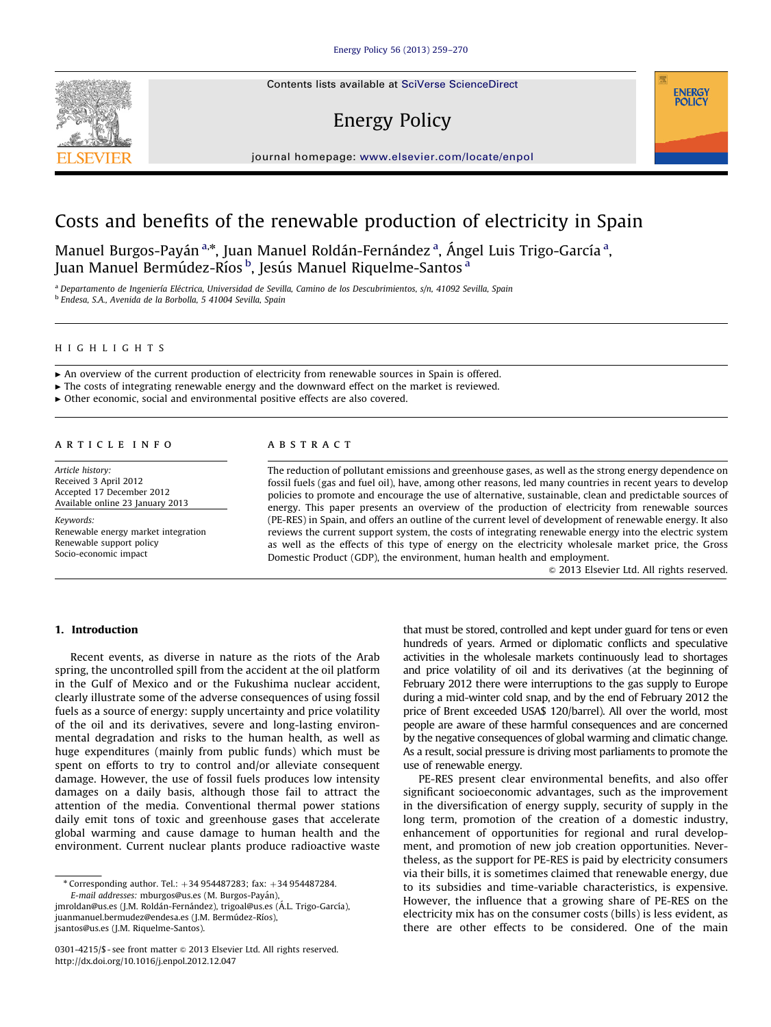Contents lists available at [SciVerse ScienceDirect](www.elsevier.com/locate/enpol)

## Energy Policy

journal homepage: <www.elsevier.com/locate/enpol>

# Costs and benefits of the renewable production of electricity in Spain

Manuel Burgos-Payán<sup>a,</sup>\*, Juan Manuel Roldán-Fernández <sup>a</sup>, Ángel Luis Trigo-García <sup>a</sup>, Juan Manuel Bermúdez-Ríos <sup>b</sup>, Jesús Manuel Riquelme-Santos <sup>a</sup>

<sup>a</sup> Departamento de Ingeniería Eléctrica, Universidad de Sevilla, Camino de los Descubrimientos, s/n, 41092 Sevilla, Spain <sup>b</sup> Endesa, S.A., Avenida de la Borbolla, 5 41004 Sevilla, Spain

### HIGHLIGHTS

 $\triangleright$  An overview of the current production of electricity from renewable sources in Spain is offered.

 $\blacktriangleright$  The costs of integrating renewable energy and the downward effect on the market is reviewed.

 $\triangleright$  Other economic, social and environmental positive effects are also covered.

### article info

Article history: Received 3 April 2012 Accepted 17 December 2012 Available online 23 January 2013

Keywords: Renewable energy market integration Renewable support policy Socio-economic impact

## ABSTRACT

The reduction of pollutant emissions and greenhouse gases, as well as the strong energy dependence on fossil fuels (gas and fuel oil), have, among other reasons, led many countries in recent years to develop policies to promote and encourage the use of alternative, sustainable, clean and predictable sources of energy. This paper presents an overview of the production of electricity from renewable sources (PE-RES) in Spain, and offers an outline of the current level of development of renewable energy. It also reviews the current support system, the costs of integrating renewable energy into the electric system as well as the effects of this type of energy on the electricity wholesale market price, the Gross Domestic Product (GDP), the environment, human health and employment.

& 2013 Elsevier Ltd. All rights reserved.

**ENERGY POLICY** 

#### 1. Introduction

Recent events, as diverse in nature as the riots of the Arab spring, the uncontrolled spill from the accident at the oil platform in the Gulf of Mexico and or the Fukushima nuclear accident, clearly illustrate some of the adverse consequences of using fossil fuels as a source of energy: supply uncertainty and price volatility of the oil and its derivatives, severe and long-lasting environmental degradation and risks to the human health, as well as huge expenditures (mainly from public funds) which must be spent on efforts to try to control and/or alleviate consequent damage. However, the use of fossil fuels produces low intensity damages on a daily basis, although those fail to attract the attention of the media. Conventional thermal power stations daily emit tons of toxic and greenhouse gases that accelerate global warming and cause damage to human health and the environment. Current nuclear plants produce radioactive waste

jmroldan@us.es (J.M. Roldán-Fernández), trigoal@us.es (Á.L. Trigo-García), juanmanuel.bermudez@endesa.es (J.M. Bermúdez-Ríos), [jsantos@us.es \(J.M. Riquelme-Santos\).](mailto:jsantos@us.es)

that must be stored, controlled and kept under guard for tens or even hundreds of years. Armed or diplomatic conflicts and speculative activities in the wholesale markets continuously lead to shortages and price volatility of oil and its derivatives (at the beginning of February 2012 there were interruptions to the gas supply to Europe during a mid-winter cold snap, and by the end of February 2012 the price of Brent exceeded USA\$ 120/barrel). All over the world, most people are aware of these harmful consequences and are concerned by the negative consequences of global warming and climatic change. As a result, social pressure is driving most parliaments to promote the use of renewable energy.

PE-RES present clear environmental benefits, and also offer significant socioeconomic advantages, such as the improvement in the diversification of energy supply, security of supply in the long term, promotion of the creation of a domestic industry, enhancement of opportunities for regional and rural development, and promotion of new job creation opportunities. Nevertheless, as the support for PE-RES is paid by electricity consumers via their bills, it is sometimes claimed that renewable energy, due to its subsidies and time-variable characteristics, is expensive. However, the influence that a growing share of PE-RES on the electricity mix has on the consumer costs (bills) is less evident, as there are other effects to be considered. One of the main



 $*$  Corresponding author. Tel.:  $+34$  954487283; fax:  $+34$  954487284. E-mail addresses: mburgos@us.es (M. Burgos-Payán),

<sup>0301-4215/\$ -</sup> see front matter @ 2013 Elsevier Ltd. All rights reserved. <http://dx.doi.org/10.1016/j.enpol.2012.12.047>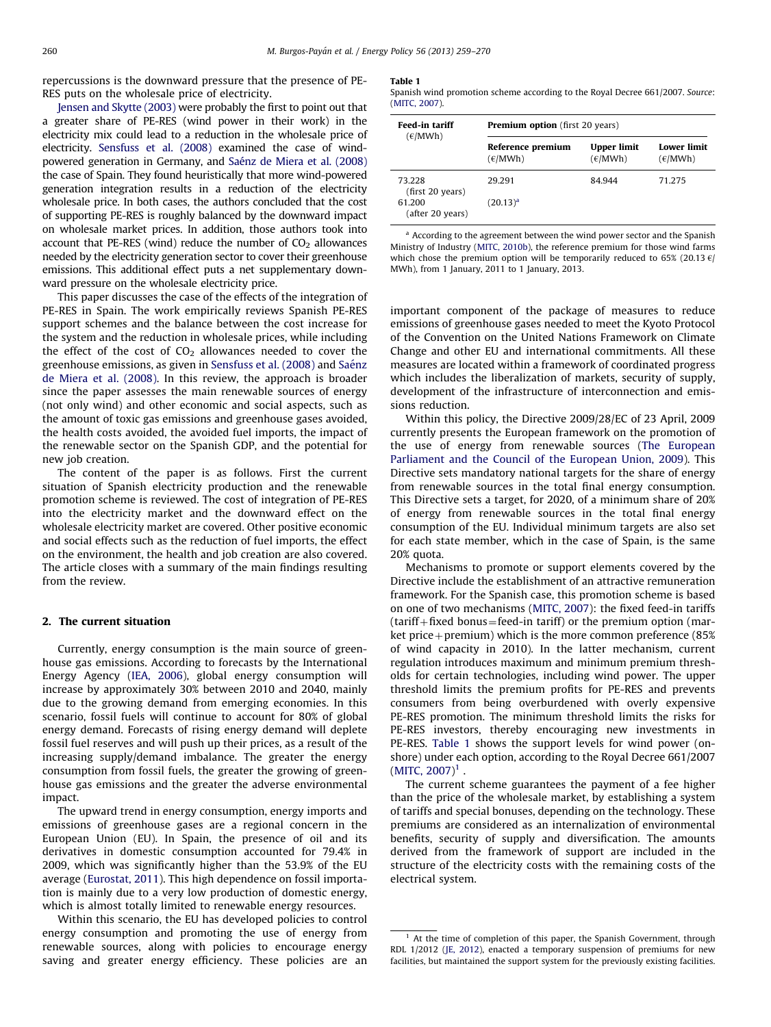repercussions is the downward pressure that the presence of PE-RES puts on the wholesale price of electricity.

[Jensen and Skytte \(2003\)](#page--1-0) were probably the first to point out that a greater share of PE-RES (wind power in their work) in the electricity mix could lead to a reduction in the wholesale price of electricity. [Sensfuss et al. \(2008\)](#page--1-0) examined the case of windpowered generation in Germany, and Saénz de Miera et al. (2008) the case of Spain. They found heuristically that more wind-powered generation integration results in a reduction of the electricity wholesale price. In both cases, the authors concluded that the cost of supporting PE-RES is roughly balanced by the downward impact on wholesale market prices. In addition, those authors took into account that PE-RES (wind) reduce the number of  $CO<sub>2</sub>$  allowances needed by the electricity generation sector to cover their greenhouse emissions. This additional effect puts a net supplementary downward pressure on the wholesale electricity price.

This paper discusses the case of the effects of the integration of PE-RES in Spain. The work empirically reviews Spanish PE-RES support schemes and the balance between the cost increase for the system and the reduction in wholesale prices, while including the effect of the cost of  $CO<sub>2</sub>$  allowances needed to cover the greenhouse emissions, as given in [Sensfuss et al. \(2008\)](#page--1-0) and Saénz [de Miera et al. \(2008\)](#page--1-0). In this review, the approach is broader since the paper assesses the main renewable sources of energy (not only wind) and other economic and social aspects, such as the amount of toxic gas emissions and greenhouse gases avoided, the health costs avoided, the avoided fuel imports, the impact of the renewable sector on the Spanish GDP, and the potential for new job creation.

The content of the paper is as follows. First the current situation of Spanish electricity production and the renewable promotion scheme is reviewed. The cost of integration of PE-RES into the electricity market and the downward effect on the wholesale electricity market are covered. Other positive economic and social effects such as the reduction of fuel imports, the effect on the environment, the health and job creation are also covered. The article closes with a summary of the main findings resulting from the review.

#### 2. The current situation

Currently, energy consumption is the main source of greenhouse gas emissions. According to forecasts by the International Energy Agency ([IEA, 2006](#page--1-0)), global energy consumption will increase by approximately 30% between 2010 and 2040, mainly due to the growing demand from emerging economies. In this scenario, fossil fuels will continue to account for 80% of global energy demand. Forecasts of rising energy demand will deplete fossil fuel reserves and will push up their prices, as a result of the increasing supply/demand imbalance. The greater the energy consumption from fossil fuels, the greater the growing of greenhouse gas emissions and the greater the adverse environmental impact.

The upward trend in energy consumption, energy imports and emissions of greenhouse gases are a regional concern in the European Union (EU). In Spain, the presence of oil and its derivatives in domestic consumption accounted for 79.4% in 2009, which was significantly higher than the 53.9% of the EU average ([Eurostat, 2011\)](#page--1-0). This high dependence on fossil importation is mainly due to a very low production of domestic energy, which is almost totally limited to renewable energy resources.

Within this scenario, the EU has developed policies to control energy consumption and promoting the use of energy from renewable sources, along with policies to encourage energy saving and greater energy efficiency. These policies are an

#### Table 1

Spanish wind promotion scheme according to the Royal Decree 661/2007. Source: [\(MITC, 2007](#page--1-0)).

| <b>Feed-in tariff</b><br>$(\epsilon/MWh)$ | <b>Premium option</b> (first 20 years) |                                        |                                 |
|-------------------------------------------|----------------------------------------|----------------------------------------|---------------------------------|
|                                           | Reference premium<br>$(\epsilon/MWh)$  | <b>Upper limit</b><br>$(\epsilon/MWh)$ | Lower limit<br>$(\epsilon/MWh)$ |
| 73.228<br>(first 20 years)                | 29.291                                 | 84.944                                 | 71.275                          |
| 61.200<br>(after 20 years)                | $(20.13)^{a}$                          |                                        |                                 |

<sup>a</sup> According to the agreement between the wind power sector and the Spanish Ministry of Industry ([MITC, 2010b\)](#page--1-0), the reference premium for those wind farms which chose the premium option will be temporarily reduced to  $65\%$  (20.13  $\epsilon$ ) MWh), from 1 January, 2011 to 1 January, 2013.

important component of the package of measures to reduce emissions of greenhouse gases needed to meet the Kyoto Protocol of the Convention on the United Nations Framework on Climate Change and other EU and international commitments. All these measures are located within a framework of coordinated progress which includes the liberalization of markets, security of supply, development of the infrastructure of interconnection and emissions reduction.

Within this policy, the Directive 2009/28/EC of 23 April, 2009 currently presents the European framework on the promotion of the use of energy from renewable sources [\(The European](#page--1-0) [Parliament and the Council of the European Union, 2009](#page--1-0)). This Directive sets mandatory national targets for the share of energy from renewable sources in the total final energy consumption. This Directive sets a target, for 2020, of a minimum share of 20% of energy from renewable sources in the total final energy consumption of the EU. Individual minimum targets are also set for each state member, which in the case of Spain, is the same 20% quota.

Mechanisms to promote or support elements covered by the Directive include the establishment of an attractive remuneration framework. For the Spanish case, this promotion scheme is based on one of two mechanisms ([MITC, 2007](#page--1-0)): the fixed feed-in tariffs  $(tariff + fixed bonus = feed-in tariff)$  or the premium option (market price + premium) which is the more common preference (85%) of wind capacity in 2010). In the latter mechanism, current regulation introduces maximum and minimum premium thresholds for certain technologies, including wind power. The upper threshold limits the premium profits for PE-RES and prevents consumers from being overburdened with overly expensive PE-RES promotion. The minimum threshold limits the risks for PE-RES investors, thereby encouraging new investments in PE-RES. Table 1 shows the support levels for wind power (onshore) under each option, according to the Royal Decree 661/2007  $(MITC, 2007)^1$  $(MITC, 2007)^1$  $(MITC, 2007)^1$ .

The current scheme guarantees the payment of a fee higher than the price of the wholesale market, by establishing a system of tariffs and special bonuses, depending on the technology. These premiums are considered as an internalization of environmental benefits, security of supply and diversification. The amounts derived from the framework of support are included in the structure of the electricity costs with the remaining costs of the electrical system.

 $1$  At the time of completion of this paper, the Spanish Government, through RDL 1/2012 [\(JE, 2012](#page--1-0)), enacted a temporary suspension of premiums for new facilities, but maintained the support system for the previously existing facilities.